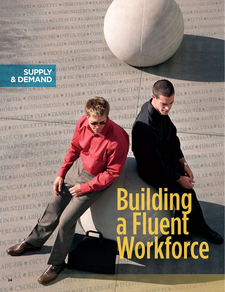TÄÄ . KUUNNELLA . CUIRIN ILL . LAB **SUPPLY ROBOTT SUPPLE ANTE CONTRACTOR & DEMAND BEEN MEDICINE AKOYS** 

METAQPAZEI . AKOYETE . OBIHATBCH . PASTOB

RADUZIR . ESCUTAR . KOMMUNIZIEREN . REDI

ANTALORUUNNELLA CCUIR IN IÚL O LABHAIR

**ANTALONE COBOPETE O HPEBE WAATE O TYTIT** 

**ENTER CONTRADUIRE . D'ÉCOUTER COMU** 

**E BATALLINE ANA METAOPAZEI O AKOTETE OBILI** 

LAR & TRADUZIR & ESCUTAR & KOMMUNIZIERE

AVILIATE . COMUNICAR . FALAR . TRADUZIR . HÖREN O KOMMUNIKOIDA OP HOREN CATE OTALK OTRANSLAT LE OVERSÆTTE OLY RADUCIR . ESCUCHAR TOBAPHBATLE CHEPEBOAM EN & ZU ÜBERSETZEN & Z STRIGH & EIST & COMMU TE KOMMUNIKERE IUNICARO HABLARO **HIATLES . PASTOR IMUNIZIEREN** IN IÚL O LABH EBEX

**24** 

**ЕМО СЪОБЩ** 

ADUZIR

DUIR

# Building a Fluent **Workforce**

THE OBUMINE OF THE

OPETERADUIRE D'ECON

KOMMUNIKOIDA . PU  $F \oplus V$ E OINTTE & COMMUN HARO ERIKOINGENO **HIATL®CON** 

EREN O REDEN

IOL . LABHAIR . AIST

EBEXAATE VYNTE OK

· D'ÉCOUTER · COMUNI

**TA OPAZEL O AKOY STE** 

**KUUNNELLA** 

ZIR . ESCUTAR . KO

ABAT . TOBOPETE

**RLER ODE TRADU** 

MEONAMETA

TRAI

ÄÑ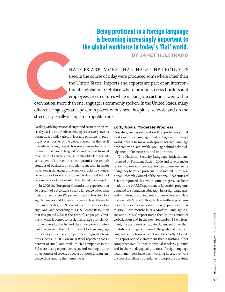# **Being proficient in a foreign language is becoming increasingly important to the global workforce in today's 'flat' world.**

**By Janet Hulstrand**

hances are, more than half the products used in the course of a day were produced somewhere other than the United States. Imports and exports are part of an intercontinental global marketplace where products cross borders and employees cross cultures while making transactions. Even within

each nation, more than one language is commonly spoken. In the United States, many different languages are spoken in places of business, hospitals, schools, and on the streets, especially in large metropolitan areas.

Dealing with linguistic challenges and barriers on an everyday basis already affects employees at every level of business, in a wide variety of jobs and positions, in practically every corner of the globe. Sometimes the result of inadequate language skills is simply an embarrassing moment that can be laughed off and learned from; at other times it can be a real stumbling block to the advancement of a career or can compromise the smooth conduct of business, or impede its success, in major ways. Foreign language proficiency is crucial for younger generations of workers to succeed today but it has not become a priority for most in the United States—yet.

In 2006 the European Commission reported that 56 percent of EU citizens speak a language other than their mother tongue (28 percent speak at least two foreign languages and 11 percent speak at least three). In the United States, just 9 percent of citizens speak a foreign language, according to a U.S. Senate Resolution that designated 2005 as the Year of Languages. Obviously, when it comes to foreign language proficiency, U.S. workers lag far behind their European counterparts. Yet even in the EU insufficient foreign language proficiency is seen as an impediment to greater business success. In 2007 *Business Week* reported that 11 percent of small- and medium-size companies in the EU were losing export contracts and missing out on other sources of revenue because of poor foreign language skills among their employees.

# **Lofty Goals, Moderate Progress**

Despite growing recognition that proficiency in at least one other language is advantageous in today's world, efforts to make widespread foreign language proficiency an achievable goal lag behind acknowledgement of its necessity and importance.

The National Security Language Initiative announced by President Bush in 2006 and several major reports have drawn new attention and a renewed sense of urgency to an old problem. In March 2007, the National Research Council of the National Academies of Science reported that while some progress has been made by the 14 U.S. Department of Education programs designed to strengthen education in foreign languages, and in international and area studies—known collectively as Title VI and Fulbright-Hayes—these programs "lack the resources necessary to keep pace with their mission." Two months later a Modern Language Association (MLA) report noted that "in the context of globalization and in the post-September 11 environment, the usefulness of studying languages other than English is no longer contested. The goals and means of language study, however, continue to be hotly debated." The report added a statement that is nothing if not comprehensive. "In their individual scholarly pursuits and in their pedagogical practices, foreign language faculty members have been working in creative ways to cross disciplinary boundaries, incorporate the study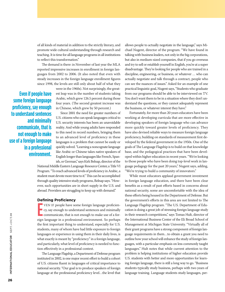of all kinds of material in addition to the strictly literary, and promote wide cultural understanding through research and teaching. It is time for all language programs in all institutions to reflect this transformation."

The demand is there: in November of last year the MLA reported impressive increases in enrollment in foreign languages from 2002 to 2006. (It also noted that even with steady increases in the foreign language enrollment figures since 1998, the levels are still only about half of what they

**Even if people have some foreign language proficiency, say enough to understand sentences and minimally communicate, that is not enough to make use of a foreign language in a professional environment.**

were in the 1960s). Not surprisingly, the greatest leap was in the number of students taking Arabic, which grew 126.5 percent during those four years. (The second greatest increase was in Chinese, which grew by 50 percent.)

Since 2001 the need for greater numbers of U.S. citizens who can speak languages critical to U.S. security interests has been an unavoidable reality. And while young adults have responded to this need in record numbers, bringing them to an advanced level of proficiency in these languages is a problem that cannot be easily or quickly solved. "Learning a noncognate language like Arabic or Chinese takes native speakers of English longer than languages like French, Spanish, or German," says Kirk Belnap, director of the

National Middle Eastern Language Resource Center, a Title VI Program. "To reach advanced levels of proficiency in Arabic, a student must devote more time to it." This can be accomplished through quality intensive study programs, Belnap says. "However, such opportunities are in short supply in the U.S. and abroad. Providers are struggling to keep up with demand."

### **Defining Proficiency**

E VEN IF people have some foreign language proficiency, say enough to understand sentences and minimally communicate, that is not enough to make use of a foreign language in a professional environment. So perhaps the first important thing to understand, especially for U.S. students, many of whom have had little exposure to foreign languages or experience in using them in their daily lives, is what exactly is meant by "proficiency" in a foreign language, and particularly, what level of proficiency is needed to function effectively in a professional context.

The Language Flagship, a Department of Defense program instituted in 2002, is one major recent effort to build a cohort of U.S. citizens fluent in languages of critical importance to national security. "Our goal is to produce speakers of foreign language at the professional proficiency level…the level that

allows people to actually negotiate in the language," says Michael Nugent, director of the program. "We have found in talking with business leaders, not only in the big corporations, but also in medium-sized companies, that if you go overseas and try to sell or establish yourself in English, you're at a super disadvantage. They're looking for people who are trained in a discipline, engineering, or business, or whatever … who can actually negotiate and talk through a contract, people who can see the nuances of issues." Asked for an example of one practical linguistic goal, Nugent says, "Students who graduate from our programs should be able to be interviewed on TV. You don't want them to be in a situation where they don't understand the questions, or they cannot adequately represent the business, or whatever interest they have."

Fortunately, for more than 20 years educators have been working at developing curricula that are more effective in developing speakers of foreign language who can advance more quickly toward greater levels of proficiency. They have also devised reliable ways to measure foreign language proficiency, building on standards of measurement first developed by the federal government in the 1950s. One of the goals of The Language Flagship is to build on that knowledge base, and the pedagogical practices that have been developed within higher education in recent years. "We're looking to those people who have been doing top-level work in language pedagogy for the past 20 years," Nugent says, adding, "We're trying to build a community of innovators."

While most educators applaud government investment in foreign language education, and there have been clear benefits as a result of past efforts based in concerns about national security, some are uncomfortable with the idea of these efforts being housed in the Department of Defense. But the government's efforts in this area are not limited to The Language Flagship program. "The U.S. Department of Education is doing a great job of stressing foreign language study in their research competitions," says Tomas Hult, director of the International Business Center of the Eli Broad School of Management at Michigan State University. "Virtually all of their grant programs have a strong component of foreign language requirements in them…to obtain a grant you need to outline how your school will enhance the study of foreign languages, with a particular emphasis on less commonly taught languages." Hult notes that while current attention to the problem is helping institutions of higher education provide U.S. students with better and more opportunities for learning foreign language, there is still a long way to go. "Business students typically study business, perhaps with two years of language training. Language students study languages, per-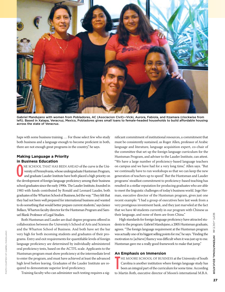

Gabriel Mandujano with women from Pobladores, AC (Asociacion Civil)—Vicki, Aurora, Fabiola, and Itzamara (clockwise from left). Based in Xalapa, Veracruz, Mexico, Pobladores gives small loans to female-headed households to build affordable housing across the state of Veracruz.

haps with some business training. … For those select few who study both business and a language enough to become proficient in both, there are not enough great programs in the country," he says.

# **Making Language a Priority in Business Education**

Photo courtesy of Gabriel Mandujano

PHOTO COURTESY OF GABRIEL MANDUJANO

ne school that has been ahead of the curve is the University of Pennsylvania, whose undergraduate Huntsman Program, and graduate Lauder Institute have both placed a high priority on the development of foreign language proficiency among their business school graduates since the early 1990s. The Lauder Institute, founded in 1983 with funds contributed by Ronald and Leonard Lauder, both graduates of the Wharton School of Business, led the way. "They felt that they had not been well prepared for international business and wanted to do something that would better prepare current students," says Janice Bellace, Wharton faculty director for the Huntsman Program and Samuel Blank Professor of Legal Studies.

Both Huntsman and Lauder are dual-degree programs offered in collaboration between the University's School of Arts and Sciences and the Wharton School of Business. And both have set the bar very high for both incoming students and graduates of their programs. Entry and exit requirements for quantifiable levels of foreign language proficiency are determined by individually administered oral proficiency tests, based on the ACTFL scale. Applicants to the Huntsman program must show proficiency at the intermediate level to enter the program, and must have achieved at least the advanced high level before leaving. Graduates of the Lauder Institute are required to demonstrate superior level proficiency.

Training faculty who can administer such testing requires a sig-

nificant commitment of institutional resources, a commitment that must be consistently sustained, as Roger Allen, professor of Arabic language and literature, language acquisition expert, co-chair of the committee that set up the foreign language curriculum for the Huntsman Program, and adviser to the Lauder Institute, can attest. "We have a large number of proficiency-based language teachers on campus and we have had for a very long time," Allen says. "But we continually have to run workshops so that we can keep the new generation of teachers up to speed." But the Huntsman and Lauder programs' steadfast commitment to proficiency-based teaching has resulted in a stellar reputation for producing graduates who are able to meet the linguistic challenges of today's business world. Inge Herman, executive director of the Huntsman program, gives just one recent example: "I had a group of executives here last week from a very prestigious investment bank, and they just marveled at the fact that we have 40 students currently in our program with Chinese as their language, and none of them are from China."

High standards for foreign language proficiency have attracted students to the program. Gabriel Mandujano, a 2005 Huntsman graduate, agrees. "The foreign language requirement at the Huntsman program was actually one of its biggest selling points for me," he says. "Finding the motivation to [achieve] fluency was difficult when it was just up to me. Huntsman gave me a really good framework to make that jump."

# **An Emphasis on Immersion**

T HE MOORE SCHOOL OF BUSINESS at the University of South Carolina is another institution where foreign language study has been an integral part of the curriculum for some time. According to Martin Roth, executive director of Moore's international M.B.A.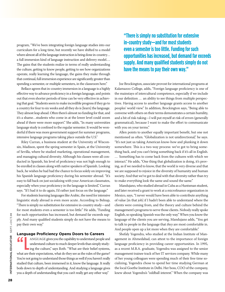program, "We've been integrating foreign language studies into our curriculum for a long time, but recently we have shifted to a model where almost all of the language instruction is being done in-country… a full immersion kind of language instruction and delivery model…. The gains that the students realize in terms of really understanding the culture, getting to know people, getting to see how organizations operate, really learning the language, the gains they make through that continual, full immersion experience are significantly greater than spending a semester, or multiple semesters, in the classroom here."

Bellace agrees that in-country immersion in a language is a highly effective way to advance proficiency in a foreign language, and points out that even shorter periods of time can be very effective in achieving that goal. "Students seem to make incredible progress if they go to a country for four to six weeks and all they do is [learn] the language. They almost leap ahead. Often there's almost no funding for that, and it's a shame…students who come in at the lower level could zoom ahead if there were more support." She adds, "In many universities language study is confined to the regular semester. It would be wonderful if there was more government support for summer programs, intensive language programs taking place outside the U.S."

Riley Curran, a business student at the University of Wisconsin, Madison, spent the spring semester in Spain, at the University of Sevilla, where he studied marketing, operational management, and managing cultural diversity. Although his classes were all conducted in Spanish, his level of proficiency was not high enough to be enrolled in classes along with native speakers of Spanish. Looking back, he wishes he had had the chance to focus solely on improving his Spanish language proficiency during his semester abroad. "It's easy to fall back on just socializing with your American classmates, especially when your proficiency in the language is limited," Curran says. "If I had it to do again, I'd rather just focus on the language."

For students learning languages like Arabic, the need for intensive linguistic study abroad is even more acute. According to Belnap, "There is simply no substitution for extensive in-country study—and for most students even a semester is too little." He adds, "Funding for such opportunities has increased, but demand far exceeds supply. And many qualified students simply do not have the means to pay their own way."

# **Language Proficiency Opens Doors to Careers**

ANGUAGE gives you the capability to understand people and<br>understand culture to much deeper levels than simply studying the culture," says Roth. "What are their belief systems, understand culture to much deeper levels than simply studying the culture," says Roth. "What are their belief systems, what are their expectations, what do they see as the rules of the game? You're not going to understand those things as well if you haven't really studied that culture, been immersed in it, know the language. It really boils down to depth of understanding. And studying a language gives you a depth of understanding that you can't really get any other way."

# **"There is simply no substitution for extensive in-country study—and for most students even a semester is too little. Funding for such opportunities has increased, but demand far exceeds supply. And many qualified students simply do not have the means to pay their own way."**

Joe Brockington, associate provost for international programs at Kalamazoo College, adds, "Foreign language proficiency is one of the mainstays of intercultural competence, especially if we include in our definition … an ability to see things from multiple perspectives. Having access to another language grants access to another peoples' world view." In addition, Brockington says, "Being able to converse with others on their terms demonstrates a certain humility, and a bit of risk-taking—I will put myself at risk of errors (generally grammatical), because I want to make the effort to communicate with you on your terms."

Allen points to another equally important benefit, but one not mentioned as often. "Globalization is not unidirectional," he says. "It's not just us taking American know-how and plunking it down somewhere. This is a two-way process: we've got to bring something back, and you can't bring something back if it's all in English. … Something has to come back from the cultures with which we interact." He adds, "One thing that globalization is doing, it's proving, as if we needed to know, that the world is very diverse and that we are supposed to rejoice in the diversity of humanity and human society. And that we've got to deal with that diversity rather than try to make everything look the same and sound the same."

Mandujano, who studied abroad in Cuba as a Huntsman student, and later received a grant to work at a microfinance organization in Mexico, says, "I never would have been able to contribute anything of value [in that job] if I hadn't been able to understand where the clients were coming from, and the theory and culture behind the management's programs to serve those clients. Nobody really spoke English, so speaking Spanish was the only way." When you know the language of the clients you are serving, Mandujano adds, "You get to talk to people in the language that *they* are most comfortable in. And people open up a lot more when they are comfortable."

Shefaly Yogendra, who studied at the Indian Institute of Management in Ahmedabad, can attest to the importance of foreign language proficiency in providing career opportunities. In 1995, as a recent M.B.A. graduate, Yogendra was assigned to the senior management trainee track of her IT services company. While many of her young colleagues were spending much of their free time socializing, Yogendra chose to spend her time studying German at the local Goethe Institute in Delhi. Her boss, COO of the company, knew about Yogendra's "oddball interest." When the company was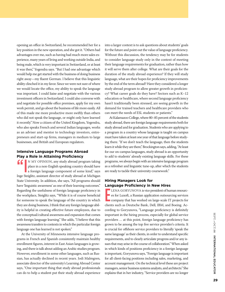opening an office in Switzerland, he recommended her for a key position in the new operation, and she got it. "Others had advantages over me, such as having had much more sales experience, many years of living and working outside India, and being male, which is very important in Switzerland, or at least it was then," Yogendra says. "But I had one advantage which would help me get started with the business of doing business right away—my fluent German. I believe that this linguistic ability clinched it in my favor. Since we were not sure of where we would locate the office, my ability to speak the language was important. I could liaise and negotiate with the various investment officers in Switzerland. I could also converse with and negotiate for possible office premises, apply for my own work permit, and go about the business of life more easily. All of this made me more productive more swiftly than others who did not speak the language, or might only have learned it recently." Now a citizen of the United Kingdom, Yogendra, who also speaks French and several Indian languages, works as an adviser and mentor to technology investors, entrepreneurs and start-up firms, managers in medium to large businesses, and British and European regulators.

# **Intensive Language Programs Abroad Play a Role in Attaining Proficiency**

THE TRACE IN MELTINING PROTECTIVE TO THE NEW ALTHOUGH THE NEW STATE PRODUCED AT A foreign language component of some kind," says place in a non-English speaking country should have a foreign language component of some kind," says Inge Steiglitz, assistant director of study abroad at Michigan State University. In addition, she says, "All programs should have 'linguistic awareness' as one of their learning outcomes." Regarding the usefulness of foreign language proficiency in the workplace, Steiglitz says, "While it is of course beneficial for someone to speak the language of the country in which they are doing business, I think that any foreign language ability is helpful in creating effective future employees, due to the conceptual/cultural awareness and expansion that comes with foreign language learning." She adds, "I believe that this awareness transfers to contexts in which the particular foreign language one has learned is not spoken."

At the University of Minnesota intensive language programs in French and Spanish consistently maintain healthy enrollment figures, interest in East Asian languages is growing, and there is talk about adding an Arabic studies program. However, enrollment in some other languages, such as Russian, has actually declined in recent years. Jodi Malmgren, associate director of the university's Learning Abroad Center says, "One important thing that study abroad professionals can do to help a student put their study abroad experience into a larger context is to ask questions about students' goals for the future and point out the value of language proficiency. Without this discussion, the tendency may be for students to consider language study only in the context of meeting their language requirements for graduation, rather than how it will serve them after college. What are their goals for the duration of the study abroad experience? If they will study language, what are their hopes for proficiency improvements by the end of the term abroad? Have they considered a longer study abroad program to allow greater growth in proficiency? What career goals do they have? Sectors such as K–12 education or healthcare, where second language proficiency hasn't traditionally been stressed, are seeing growth in the demand for trained teachers and healthcare providers who can meet the needs of ESL students or patients."

At Kalamazoo College, where 80–85 percent of the students study abroad, there are foreign language requirements both for study abroad and for graduation. Students who are applying to a program in a country whose language is taught on campus must have taken at least one year of that language before studying there. "If we don't teach the language, then the students learn it while they are there," Brockington says, adding, "At least for our on-campus languages, study abroad is an opportunity to add to students' already existing language skills. For these programs, we always begin with an intensive language program as a refresher and linguistic tune-up, after which the students are ready to tackle their university coursework."

# **Hiring Managers Look for Language Proficiency in New Hires**

E LENA GORYUNOVA is vice president of human resources for Luxoft, a Russian application outsourcing services company that has worked on large-scale IT projects for clients such as Deutsche Bank, Dell, IBM, and Boeing. According to Goryunova, "Language proficiency is definitely important in the hiring process, especially for global service providers … at this point, foreign language proficiency has grown to be among the top five service provider's criteria. It is crucial for offshore service providers to literally 'speak the same language' as their clients, in order to understand specific requirements, and to clearly articulate progress and/or any issues that may arise in the course of collaboration." When asked in which kinds of positions proficiency in a foreign language is important, Goryunova says, "Foreign language is important for all client-facing positions including sales, marketing, and account management. On the technical level these are project managers, senior business systems analysts, and architects." She explains that in her industry, "Service providers are no longer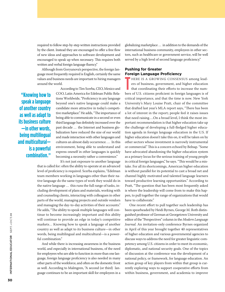required to follow step-by-step written instructions provided by the client. Instead they are encouraged to offer a free flow of new ideas and approaches to software development and encouraged to speak up when necessary. This requires both written and verbal foreign language fluency."

Although from Goryunova's perspective, the foreign language most frequently required is English, certainly the same values and business needs are important to hiring managers around the world.

**"Knowing how to speak a language of another country as well as adapt to its business culture —in other words, being multilingual and multicultural is a powerful combination."**

According to Tim Scerba, CEO, Mexico and COO, Latin America for Edelman Public Relations Worldwide, "Proficiency in any language beyond one's native language could make a candidate more attractive in today's competitive marketplace." He adds, "The importance of being able to communicate in a second or even third language has definitely increased over the past decade … the Internet and business globalization have reduced the size of our world and made interaction with other languages and cultures an almost daily occurrence. … In this environment, being able to understand and express oneself in other languages is quickly becoming a necessity rather a convenience."

It's not just exposure to another language that is called for: often the ability to operate at an advanced level of proficiency is required. Scerba explains, "Edelman team members working in languages other than their native language do the same types of work they would do in the native language … this runs the full range of tasks, including development of plans and materials, working with and counseling clients, interacting with colleagues in other parts of the world, managing projects and outside vendors and managing the day-to-day activities of their accounts." He adds, "The ability to speak multiple languages will continue to become increasingly important and this ability will continue to provide an edge in today's competitive markets… Knowing how to speak a language of another country as well as adapt to its business culture—in other words, being multilingual and multicultural—is a powerful combination"

And while there is increasing awareness in the business world, and especially in international business, of the need for employees who are able to function in more than one language, foreign language proficiency is also needed in many other parts of the workforce, and often on the domestic front as well. According to Malmgren, "A second (or third) language continues to be an important skill for employees in a globalizing marketplace … in addition to the demands of the international business community, employees in other sectors, such as healthcare or government service, will be well served by a high level of second language proficiency."

# **Pushing for Greater Foreign Language Proficiency**

T HERE IS A GROWING CONSENSUS among leaders of business, government, and higher education that coordinating their efforts to increase the numbers of U.S. citizens proficient in foreign languages is of critical importance, and that the time is now. New York University's Mary Louise Pratt, chair of the committee that drafted last year's MLA report says, "There has been a lot of interest in the report; people feel it raises issues that need raising….On a broad level, I think the most important recommendation is that higher education take up the challenge of developing a full-fledged higher education agenda in foreign language education in the U.S. If higher education doesn't take this on, it will be taken on by other sectors whose investment is narrowly instrumental or commercial." This is a concern echoed by Belnap. "Some have advocated abandoning the higher education system as a primary locus for the serious training of young people in critical foreign languages," he says. "This would be a mistake. For all its shortcomings, American higher education is without parallel for its potential to cast a broad net and channel highly motivated and talented language learners toward productive learning opportunities." According to Pratt, "The question that has been most frequently asked is where the leadership will come from to make this happen, to pull together the range of organizations that would have to collaborate."

One recent effort to pull together such leadership has been spearheaded by Heidi Byrnes, George M. Roth distinguished professor of German at Georgetown University and editor of the "Perspectives" column in the *Modern Language Journal.* An invitation-only conference Byrnes organized in April of this year brought together 40 representatives of higher education and various governmental agencies to discuss ways to address the need for greater linguistic competency among U.S. citizens in order to meet its economic, diplomatic, and national security goals. One of the topics of discussion at the conference was the development of a national policy, or framework, for language education. An action group of key players from within that group is currently exploring ways to support cooperative efforts from within business, government, and academia to improve